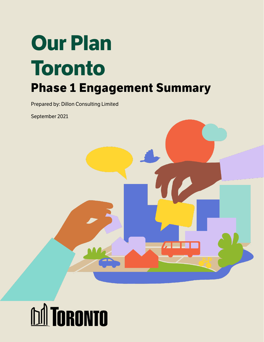# **Our Plan Toronto Phase 1 Engagement Summary**

Prepared by: Dillon Consulting Limited

September 2021



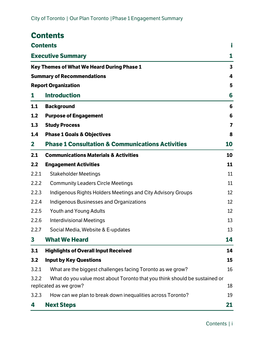<span id="page-1-0"></span>

|              | <b>Contents</b>                                                                                                            |    |  |  |  |
|--------------|----------------------------------------------------------------------------------------------------------------------------|----|--|--|--|
|              | <b>Contents</b>                                                                                                            | i  |  |  |  |
|              | <b>Executive Summary</b><br>1<br>Key Themes of What We Heard During Phase 1<br>3<br><b>Summary of Recommendations</b><br>4 |    |  |  |  |
|              |                                                                                                                            |    |  |  |  |
|              |                                                                                                                            |    |  |  |  |
|              | <b>Report Organization</b>                                                                                                 | 5  |  |  |  |
| 1            | <b>Introduction</b>                                                                                                        | 6  |  |  |  |
| 1.1          | <b>Background</b>                                                                                                          | 6  |  |  |  |
| 1.2          | <b>Purpose of Engagement</b>                                                                                               | 6  |  |  |  |
| 1.3          | <b>Study Process</b>                                                                                                       | 7  |  |  |  |
| 1.4          | <b>Phase 1 Goals &amp; Objectives</b>                                                                                      | 8  |  |  |  |
| $\mathbf{2}$ | <b>Phase 1 Consultation &amp; Communications Activities</b>                                                                | 10 |  |  |  |
| 2.1          | <b>Communications Materials &amp; Activities</b>                                                                           | 10 |  |  |  |
| 2.2          | <b>Engagement Activities</b>                                                                                               | 11 |  |  |  |
| 2.2.1        | <b>Stakeholder Meetings</b>                                                                                                | 11 |  |  |  |
| 2.2.2        | <b>Community Leaders Circle Meetings</b>                                                                                   | 11 |  |  |  |
| 2.2.3        | Indigenous Rights Holders Meetings and City Advisory Groups                                                                | 12 |  |  |  |
| 2.2.4        | <b>Indigenous Businesses and Organizations</b>                                                                             | 12 |  |  |  |
| 2.2.5        | <b>Youth and Young Adults</b>                                                                                              | 12 |  |  |  |
| 2.2.6        | <b>Interdivisional Meetings</b>                                                                                            | 13 |  |  |  |
| 2.2.7        | Social Media, Website & E-updates                                                                                          | 13 |  |  |  |
| 3            | <b>What We Heard</b>                                                                                                       | 14 |  |  |  |
| 3.1          | <b>Highlights of Overall Input Received</b>                                                                                | 14 |  |  |  |
| 3.2          | <b>Input by Key Questions</b>                                                                                              | 15 |  |  |  |
| 3.2.1        | What are the biggest challenges facing Toronto as we grow?                                                                 | 16 |  |  |  |
| 3.2.2        | What do you value most about Toronto that you think should be sustained or<br>replicated as we grow?                       | 18 |  |  |  |
| 3.2.3        | How can we plan to break down inequalities across Toronto?                                                                 | 19 |  |  |  |
| 4            | <b>Next Steps</b>                                                                                                          | 21 |  |  |  |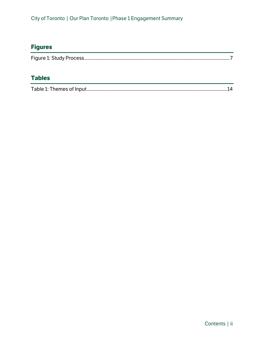# **Figures**

# **Tables**

|--|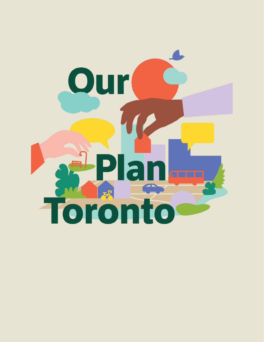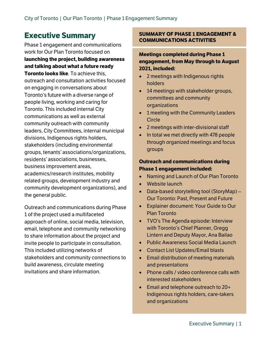# <span id="page-4-0"></span>**Executive Summary**

Phase 1 engagement and communications work for Our Plan Toronto focused on **launching the project, building awareness and talking about what a future ready Toronto looks like**. To achieve this, outreach and consultation activities focused on engaging in conversations about Toronto's future with a diverse range of people living, working and caring for Toronto. This included internal City communications as well as external community outreach with community leaders, City Committees, internal municipal divisions, Indigenous rights holders, stakeholders (including environmental groups, tenants' associations/organizations, residents' associations, businesses, business improvement areas, academics/research institutes, mobility related groups, development industry and community development organizations), and the general public.

Outreach and communications during Phase 1 of the project used a multifaceted approach of online, social media, television, email, telephone and community networking to share information about the project and invite people to participate in consultation. This included utilizing networks of stakeholders and community connections to build awareness, circulate meeting invitations and share information.

#### **SUMMARY OF PHASE 1 ENGAGEMENT & COMMUNICATIONS ACTIVITIES**

## **Meetings completed during Phase 1 engagement, from May through to August 2021, included:**

- 2 meetings with Indigenous rights holders
- 14 meetings with stakeholder groups, committees and community organizations
- 1 meeting with the Community Leaders Circle
- 2 meetings with inter-divisional staff
- In total we met directly with 478 people through organized meetings and focus groups

## **Outreach and communications during Phase 1 engagement included:**

- Naming and Launch of Our Plan Toronto
- Website launch
- Data-based storytelling tool (StoryMap) Our Toronto: Past, Present and Future
- Explainer document: Your Guide to Our Plan Toronto
- TVO's The Agenda episode: Interview with Toronto's Chief Planner, Gregg Lintern and Deputy Mayor, Ana Bailao
- Public Awareness Social Media Launch
- Contact List Updates/Email blasts
- Email distribution of meeting materials and presentations
- Phone calls / video conference calls with interested stakeholders
- Email and telephone outreach to 20+ Indigenous rights holders, care-takers and organizations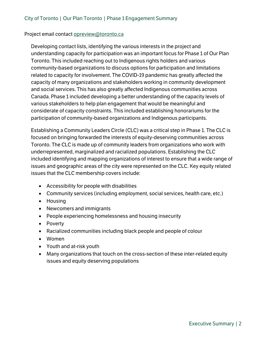#### Project email contact [opreview@toronto.ca](mailto:opreview@toronto.ca)

Developing contact lists, identifying the various interests in the project and understanding capacity for participation was an important focus for Phase 1 of Our Plan Toronto. This included reaching out to Indigenous rights holders and various community-based organizations to discuss options for participation and limitations related to capacity for involvement. The COVID-19 pandemic has greatly affected the capacity of many organizations and stakeholders working in community development and social services. This has also greatly affected Indigenous communities across Canada. Phase 1 included developing a better understanding of the capacity levels of various stakeholders to help plan engagement that would be meaningful and considerate of capacity constraints. This included establishing honorariums for the participation of community-based organizations and Indigenous participants.

Establishing a Community Leaders Circle (CLC) was a critical step in Phase 1. The CLC is focused on bringing forwarded the interests of equity-deserving communities across Toronto. The CLC is made up of community leaders from organizations who work with underrepresented, marginalized and racialized populations. Establishing the CLC included identifying and mapping organizations of interest to ensure that a wide range of issues and geographic areas of the city were represented on the CLC. Key equity related issues that the CLC membership covers include:

- Accessibility for people with disabilities
- Community services (including employment, social services, health care, etc.)
- Housing
- Newcomers and immigrants
- People experiencing homelessness and housing insecurity
- Poverty
- Racialized communities including black people and people of colour
- Women
- Youth and at-risk youth
- Many organizations that touch on the cross-section of these inter-related equity issues and equity deserving populations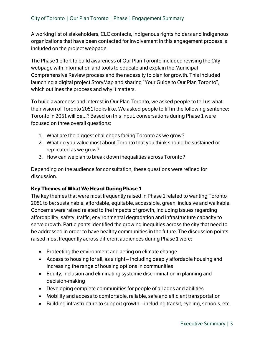A working list of stakeholders, CLC contacts, Indigenous rights holders and Indigenous organizations that have been contacted for involvement in this engagement process is included on the project webpage.

The Phase 1 effort to build awareness of Our Plan Toronto included revising the City webpage with information and tools to educate and explain the Municipal Comprehensive Review process and the necessity to plan for growth. This included launching a digital project StoryMap and sharing "Your Guide to Our Plan Toronto", which outlines the process and why it matters.

To build awareness and interest in Our Plan Toronto, we asked people to tell us what their vision of Toronto 2051 looks like. We asked people to fill in the following sentence: Toronto in 2051 will be...? Based on this input, conversations during Phase 1 were focused on three overall questions:

- 1. What are the biggest challenges facing Toronto as we grow?
- 2. What do you value most about Toronto that you think should be sustained or replicated as we grow?
- 3. How can we plan to break down inequalities across Toronto?

Depending on the audience for consultation, these questions were refined for discussion.

## <span id="page-6-0"></span>**Key Themes of What We Heard During Phase 1**

The key themes that were most frequently raised in Phase 1 related to wanting Toronto 2051 to be: sustainable, affordable, equitable, accessible, green, inclusive and walkable. Concerns were raised related to the impacts of growth, including issues regarding affordability, safety, traffic, environmental degradation and infrastructure capacity to serve growth. Participants identified the growing inequities across the city that need to be addressed in order to have healthy communities in the future. The discussion points raised most frequently across different audiences during Phase 1 were:

- Protecting the environment and acting on climate change
- Access to housing for all, as a right  $-$  including deeply affordable housing and increasing the range of housing options in communities
- Equity, inclusion and eliminating systemic discrimination in planning and decision-making
- Developing complete communities for people of all ages and abilities
- Mobility and access to comfortable, reliable, safe and efficient transportation
- $\bullet$  Building infrastructure to support growth including transit, cycling, schools, etc.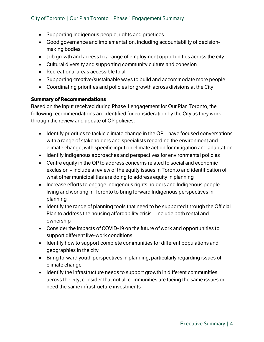## City of Toronto | Our Plan Toronto | Phase 1 Engagement Summary

- Supporting Indigenous people, rights and practices
- Good governance and implementation, including accountability of decisionmaking bodies
- Job growth and access to a range of employment opportunities across the city
- Cultural diversity and supporting community culture and cohesion
- Recreational areas accessible to all
- Supporting creative/sustainable ways to build and accommodate more people
- Coordinating priorities and policies for growth across divisions at the City

#### <span id="page-7-0"></span>**Summary of Recommendations**

Based on the input received during Phase 1 engagement for Our Plan Toronto, the following recommendations are identified for consideration by the City as they work through the review and update of OP policies:

- $\bullet$  Identify priorities to tackle climate change in the OP have focused conversations with a range of stakeholders and specialists regarding the environment and climate change, with specific input on climate action for mitigation and adaptation
- Identify Indigenous approaches and perspectives for environmental policies
- Centre equity in the OP to address concerns related to social and economic exclusion – include a review of the equity issues in Toronto and identification of what other municipalities are doing to address equity in planning
- Increase efforts to engage Indigenous rights holders and Indigenous people living and working in Toronto to bring forward Indigenous perspectives in planning
- Identify the range of planning tools that need to be supported through the Official Plan to address the housing affordability crisis - include both rental and ownership
- Consider the impacts of COVID-19 on the future of work and opportunities to support different live-work conditions
- Identify how to support complete communities for different populations and geographies in the city
- Bring forward youth perspectives in planning, particularly regarding issues of climate change
- Identify the infrastructure needs to support growth in different communities across the city; consider that not all communities are facing the same issues or need the same infrastructure investments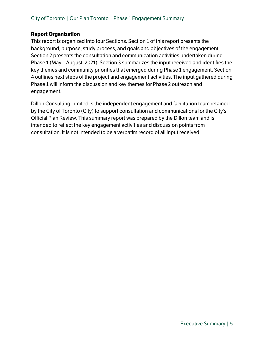#### <span id="page-8-0"></span>**Report Organization**

This report is organized into four Sections. Section 1 of this report presents the background, purpose, study process, and goals and objectives of the engagement. Section 2 presents the consultation and communication activities undertaken during Phase 1 (May – August, 2021). Section 3 summarizes the input received and identifies the key themes and community priorities that emerged during Phase 1 engagement. Section 4 outlines next steps of the project and engagement activities. The input gathered during Phase 1 will inform the discussion and key themes for Phase 2 outreach and engagement.

Dillon Consulting Limited is the independent engagement and facilitation team retained by the City of Toronto (City) to support consultation and communications for the City's Official Plan Review. This summary report was prepared by the Dillon team and is intended to reflect the key engagement activities and discussion points from consultation. It is not intended to be a verbatim record of all input received.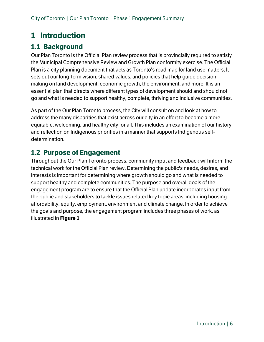# <span id="page-9-0"></span>**1 Introduction**

# <span id="page-9-1"></span>**1.1 Background**

Our Plan Toronto is the Official Plan review process that is provincially required to satisfy the Municipal Comprehensive Review and Growth Plan conformity exercise. The Official Plan is a city planning document that acts as Toronto's road map for land use matters. It sets out our long-term vision, shared values, and policies that help guide decisionmaking on land development, economic growth, the environment, and more. It is an essential plan that directs where different types of development should and should not go and what is needed to support healthy, complete, thriving and inclusive communities.

As part of the Our Plan Toronto process, the City will consult on and look at how to address the many disparities that exist across our city in an effort to become a more equitable, welcoming, and healthy city for all. This includes an examination of our history and reflection on Indigenous priorities in a manner that supports Indigenous selfdetermination.

# <span id="page-9-2"></span>**1.2 Purpose of Engagement**

Throughout the Our Plan Toronto process, community input and feedback will inform the technical work for the Official Plan review. Determining the public's needs, desires, and interests is important for determining where growth should go and what is needed to support healthy and complete communities. The purpose and overall goals of the engagement program are to ensure that the Official Plan update incorporates input from the public and stakeholders to tackle issues related key topic areas, including housing affordability, equity, employment, environment and climate change. In order to achieve the goals and purpose, the engagement program includes three phases of work, as illustrated in **Figure 1**.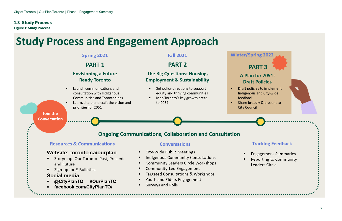<span id="page-10-1"></span><span id="page-10-0"></span>

# **Study Process and Engagement Approach**



# **Winter/Spring 2022**

# **PART 3**

# **A Plan for 2051: Draft Policies**

Draft policies to implement Indigenous and City-wide

Share broadly & present to **City Council** 



# **Tracking Feedback**

**Engagement Summaries Reporting to Community** Leaders Circle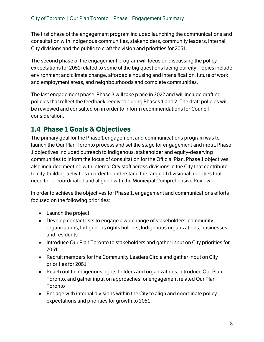The first phase of the engagement program included launching the communications and consultation with Indigenous communities, stakeholders, community leaders, internal City divisions and the public to craft the vision and priorities for 2051.

The second phase of the engagement program will focus on discussing the policy expectations for 2051 related to some of the big questions facing our city. Topics include environment and climate change, affordable housing and intensification, future of work and employment areas, and neighbourhoods and complete communities.

The last engagement phase, Phase 3 will take place in 2022 and will include drafting policies that reflect the feedback received during Phases 1 and 2. The draft policies will be reviewed and consulted on in order to inform recommendations for Council consideration.

# <span id="page-11-0"></span>**1.4 Phase 1 Goals & Objectives**

The primary goal for the Phase 1 engagement and communications program was to launch the Our Plan Toronto process and set the stage for engagement and input. Phase 1 objectives included outreach to Indigenous, stakeholder and equity-deserving communities to inform the focus of consultation for the Official Plan. Phase 1 objectives also included meeting with internal City staff across divisions in the City that contribute to city-building activities in order to understand the range of divisional priorities that need to be coordinated and aligned with the Municipal Comprehensive Review.

In order to achieve the objectives for Phase 1, engagement and communications efforts focused on the following priorities:

- Launch the project
- Develop contact lists to engage a wide range of stakeholders, community organizations, Indigenous rights holders, Indigenous organizations, businesses and residents
- Introduce Our Plan Toronto to stakeholders and gather input on City priorities for 2051
- Recruit members for the Community Leaders Circle and gather input on City priorities for 2051
- Reach out to Indigenous rights holders and organizations, introduce Our Plan Toronto, and gather input on approaches for engagement related Our Plan Toronto
- Engage with internal divisions within the City to align and coordinate policy expectations and priorities for growth to 2051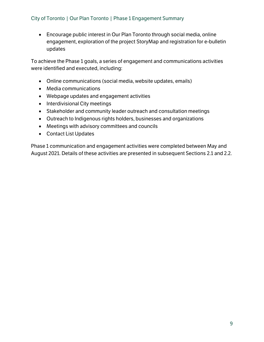## City of Toronto | Our Plan Toronto | Phase 1 Engagement Summary

• Encourage public interest in Our Plan Toronto through social media, online engagement, exploration of the project StoryMap and registration for e-bulletin updates

To achieve the Phase 1 goals, a series of engagement and communications activities were identified and executed, including:

- Online communications (social media, website updates, emails)
- Media communications
- Webpage updates and engagement activities
- Interdivisional City meetings
- Stakeholder and community leader outreach and consultation meetings
- Outreach to Indigenous rights holders, businesses and organizations
- Meetings with advisory committees and councils
- Contact List Updates

Phase 1 communication and engagement activities were completed between May and August 2021. Details of these activities are presented in subsequent Sections [2.1](#page-13-1) an[d 2.2.](#page-14-0)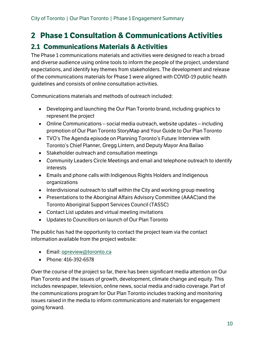# <span id="page-13-0"></span>**2 Phase 1 Consultation & Communications Activities**

# <span id="page-13-1"></span>**2.1 Communications Materials & Activities**

The Phase 1 communications materials and activities were designed to reach a broad and diverse audience using online tools to inform the people of the project, understand expectations, and identify key themes from stakeholders. The development and release of the communications materials for Phase 1 were aligned with COVID-19 public health guidelines and consists of online consultation activities.

Communications materials and methods of outreach included:

- Developing and launching the Our Plan Toronto brand, including graphics to represent the project
- Online Communications social media outreach, website updates including promotion of Our Plan Toronto StoryMap and Your Guide to Our Plan Toronto
- TVO's The Agenda episode on Planning Toronto's Future: Interview with Toronto's Chief Planner, Gregg Lintern, and Deputy Mayor Ana Bailao
- Stakeholder outreach and consultation meetings
- Community Leaders Circle Meetings and email and telephone outreach to identify interests
- Emails and phone calls with Indigenous Rights Holders and Indigenous organizations
- Interdivisional outreach to staff within the City and working group meeting
- Presentations to the Aboriginal Affairs Advisory Committee (AAAC)and the Toronto Aboriginal Support Services Council (TASSC)
- Contact List updates and virtual meeting invitations
- Updates to Councillors on launch of Our Plan Toronto

The public has had the opportunity to contact the project team via the contact information available from the project website:

- Email[: opreview@toronto.ca](mailto:opreview@toronto.ca)
- Phone: 416-392-6578

Over the course of the project so far, there has been significant media attention on Our Plan Toronto and the issues of growth, development, climate change and equity. This includes newspaper, television, online news, social media and radio coverage. Part of the communications program for Our Plan Toronto includes tracking and monitoring issues raised in the media to inform communications and materials for engagement going forward.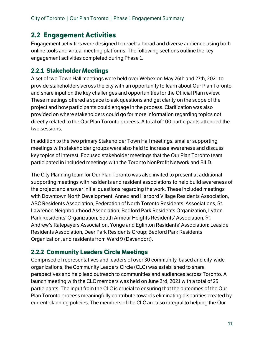# <span id="page-14-0"></span>**2.2 Engagement Activities**

Engagement activities were designed to reach a broad and diverse audience using both online tools and virtual meeting platforms. The following sections outline the key engagement activities completed during Phase 1.

# <span id="page-14-1"></span>**2.2.1 Stakeholder Meetings**

A set of two Town Hall meetings were held over Webex on May 26th and 27th, 2021 to provide stakeholders across the city with an opportunity to learn about Our Plan Toronto and share input on the key challenges and opportunities for the Official Plan review. These meetings offered a space to ask questions and get clarity on the scope of the project and how participants could engage in the process. Clarification was also provided on where stakeholders could go for more information regarding topics not directly related to the Our Plan Toronto process. A total of 100 participants attended the two sessions.

In addition to the two primary Stakeholder Town Hall meetings, smaller supporting meetings with stakeholder groups were also held to increase awareness and discuss key topics of interest. Focused stakeholder meetings that the Our Plan Toronto team participated in included meetings with the Toronto NonProfit Network and BILD.

The City Planning team for Our Plan Toronto was also invited to present at additional supporting meetings with residents and resident associations to help build awareness of the project and answer initial questions regarding the work. These included meetings with Downtown North Development, Annex and Harbord Village Residents Association, ABC Residents Association, Federation of North Toronto Residents' Associations, St. Lawrence Neighbourhood Association, Bedford Park Residents Organization, Lytton Park Residents' Organization, South Armour Heights Residents' Association, St. Andrew's Ratepayers Association, Yonge and Eglinton Residents' Association; Leaside Residents Association, Deer Park Residents Group; Bedford Park Residents Organization, and residents from Ward 9 (Davenport).

# <span id="page-14-2"></span>**2.2.2 Community Leaders Circle Meetings**

Comprised of representatives and leaders of over 30 community-based and city-wide organizations, the Community Leaders Circle (CLC) was established to share perspectives and help lead outreach to communities and audiences across Toronto. A launch meeting with the CLC members was held on June 3rd, 2021 with a total of 25 participants. The input from the CLC is crucial to ensuring that the outcomes of the Our Plan Toronto process meaningfully contribute towards eliminating disparities created by current planning policies. The members of the CLC are also integral to helping the Our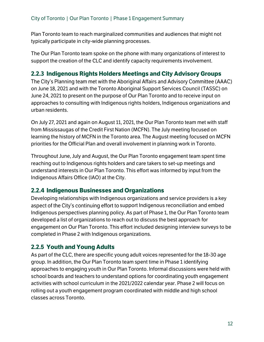Plan Toronto team to reach marginalized communities and audiences that might not typically participate in city-wide planning processes.

The Our Plan Toronto team spoke on the phone with many organizations of interest to support the creation of the CLC and identify capacity requirements involvement.

# <span id="page-15-0"></span>**2.2.3 Indigenous Rights Holders Meetings and City Advisory Groups**

The City's Planning team met with the Aboriginal Affairs and Advisory Committee (AAAC) on June 18, 2021 and with the Toronto Aboriginal Support Services Council (TASSC) on June 24, 2021 to present on the purpose of Our Plan Toronto and to receive input on approaches to consulting with Indigenous rights holders, Indigenous organizations and urban residents.

On July 27, 2021 and again on August 11, 2021, the Our Plan Toronto team met with staff from Mississaugas of the Credit First Nation (MCFN). The July meeting focused on learning the history of MCFN in the Toronto area. The August meeting focused on MCFN priorities for the Official Plan and overall involvement in planning work in Toronto.

Throughout June, July and August, the Our Plan Toronto engagement team spent time reaching out to Indigenous rights holders and care takers to set-up meetings and understand interests in Our Plan Toronto. This effort was informed by input from the Indigenous Affairs Office (IAO) at the City.

# <span id="page-15-1"></span>**2.2.4 Indigenous Businesses and Organizations**

Developing relationships with Indigenous organizations and service providers is a key aspect of the City's continuing effort to support Indigenous reconciliation and embed Indigenous perspectives planning policy. As part of Phase 1, the Our Plan Toronto team developed a list of organizations to reach out to discuss the best approach for engagement on Our Plan Toronto. This effort included designing interview surveys to be completed in Phase 2 with Indigenous organizations.

# <span id="page-15-2"></span>**2.2.5 Youth and Young Adults**

As part of the CLC, there are specific young adult voices represented for the 18-30 age group. In addition, the Our Plan Toronto team spent time in Phase 1 identifying approaches to engaging youth in Our Plan Toronto. Informal discussions were held with school boards and teachers to understand options for coordinating youth engagement activities with school curriculum in the 2021/2022 calendar year. Phase 2 will focus on rolling out a youth engagement program coordinated with middle and high school classes across Toronto.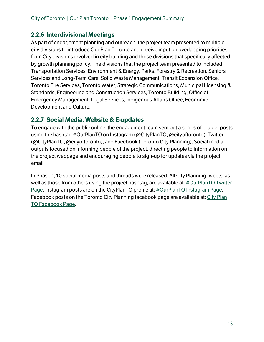# <span id="page-16-0"></span>**2.2.6 Interdivisional Meetings**

As part of engagement planning and outreach, the project team presented to multiple city divisions to introduce Our Plan Toronto and receive input on overlapping priorities from City divisions involved in city building and those divisions that specifically affected by growth planning policy. The divisions that the project team presented to included Transportation Services, Environment & Energy, Parks, Forestry & Recreation, Seniors Services and Long-Term Care, Solid Waste Management, Transit Expansion Office, Toronto Fire Services, Toronto Water, Strategic Communications, Municipal Licensing & Standards, Engineering and Construction Services, Toronto Building, Office of Emergency Management, Legal Services, Indigenous Affairs Office, Economic Development and Culture.

# <span id="page-16-1"></span>**2.2.7 Social Media, Website & E-updates**

To engage with the public online, the engagement team sent out a series of project posts using the hashtag #OurPlanTO on Instagram (@CityPlanTO, @cityoftoronto), Twitter (@CityPlanTO, @cityoftoronto), and Facebook (Toronto City Planning). Social media outputs focused on informing people of the project, directing people to information on the project webpage and encouraging people to sign-up for updates via the project email.

In Phase 1, 10 social media posts and threads were released. All City Planning tweets, as well as those from others using the project hashtag, are available at:  $\#$ OurPlanTO Twitter [Page.](https://twitter.com/hashtag/ourplanTO) Instagram posts are on the CityPlanTO profile at: [#OurPlanTO Instagram Page.](https://www.instagram.com/cityplanto/) Facebook posts on the Toronto City Planning facebook page are available at: [City Plan](https://www.facebook.com/CityPlanTO/)  [TO Facebook Page.](https://www.facebook.com/CityPlanTO/)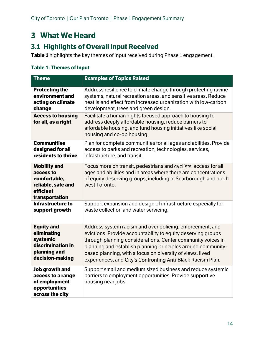# <span id="page-17-0"></span>**3 What We Heard**

# <span id="page-17-1"></span>**3.1 Highlights of Overall Input Received**

**Table 1** highlights the key themes of input received during Phase 1 engagement.

## <span id="page-17-2"></span>**Table 1: Themes of Input**

| <b>Theme</b>                                                                                          | <b>Examples of Topics Raised</b>                                                                                                                                                                                     |
|-------------------------------------------------------------------------------------------------------|----------------------------------------------------------------------------------------------------------------------------------------------------------------------------------------------------------------------|
| <b>Protecting the</b>                                                                                 | Address resilience to climate change through protecting ravine                                                                                                                                                       |
| environment and                                                                                       | systems, natural recreation areas, and sensitive areas. Reduce                                                                                                                                                       |
| acting on climate                                                                                     | heat island effect from increased urbanization with low-carbon                                                                                                                                                       |
| change                                                                                                | development, trees and green design.                                                                                                                                                                                 |
| <b>Access to housing</b><br>for all, as a right                                                       | Facilitate a human-rights focused approach to housing to<br>address deeply affordable housing, reduce barriers to<br>affordable housing, and fund housing initiatives like social<br>housing and co-op housing.      |
| <b>Communities</b>                                                                                    | Plan for complete communities for all ages and abilities. Provide                                                                                                                                                    |
| designed for all                                                                                      | access to parks and recreation, technologies, services,                                                                                                                                                              |
| residents to thrive                                                                                   | infrastructure, and transit.                                                                                                                                                                                         |
| <b>Mobility and</b><br>access to<br>comfortable,<br>reliable, safe and<br>efficient<br>transportation | Focus more on transit, pedestrians and cyclists' access for all<br>ages and abilities and in areas where there are concentrations<br>of equity deserving groups, including in Scarborough and north<br>west Toronto. |
| Infrastructure to                                                                                     | Support expansion and design of infrastructure especially for                                                                                                                                                        |
| support growth                                                                                        | waste collection and water servicing.                                                                                                                                                                                |
| <b>Equity and</b>                                                                                     | Address system racism and over policing, enforcement, and                                                                                                                                                            |
| eliminating                                                                                           | evictions. Provide accountability to equity deserving groups                                                                                                                                                         |
| systemic                                                                                              | through planning considerations. Center community voices in                                                                                                                                                          |
| discrimination in                                                                                     | planning and establish planning principles around community-                                                                                                                                                         |
| planning and                                                                                          | based planning, with a focus on diversity of views, lived                                                                                                                                                            |
| decision-making                                                                                       | experiences, and City's Confronting Anti-Black Racism Plan.                                                                                                                                                          |
| Job growth and<br>access to a range<br>of employment<br>opportunities<br>across the city              | Support small and medium sized business and reduce systemic<br>barriers to employment opportunities. Provide supportive<br>housing near jobs.                                                                        |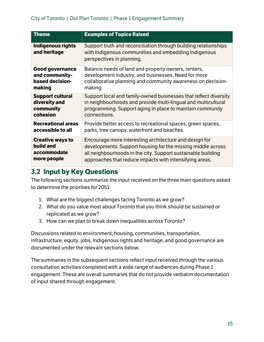| <b>Theme</b>                             | <b>Examples of Topics Raised</b>                                                                                                                     |
|------------------------------------------|------------------------------------------------------------------------------------------------------------------------------------------------------|
| <b>Indigenous rights</b><br>and heritage | Support truth and reconciliation through building relationships<br>with Indigenous communities and embedding Indigenous<br>perspectives in planning. |
| <b>Good governance</b>                   | Balance needs of land and property owners, renters,                                                                                                  |
| and community-                           | development industry, and businesses. Need for more                                                                                                  |
| based decision-                          | collaborative planning and community awareness on decision-                                                                                          |
| making                                   | making.                                                                                                                                              |
| <b>Support cultural</b>                  | Support local and family-owned businesses that reflect diversity                                                                                     |
| diversity and                            | in neighbourhoods and provide multi-lingual and multicultural                                                                                        |
| community                                | programming. Support aging in place to maintain community                                                                                            |
| cohesion                                 | connections.                                                                                                                                         |
| <b>Recreational areas</b>                | Provide better access to recreational spaces, green spaces,                                                                                          |
| accessible to all                        | parks, tree canopy, waterfront and beaches.                                                                                                          |
| <b>Creative ways to</b>                  | Encourage more interesting architecture and design for                                                                                               |
| build and                                | developments. Support housing for the missing middle across                                                                                          |
| accommodate                              | all neighbourhoods in the city. Support sustainable building                                                                                         |
| more people                              | approaches that reduce impacts with intensifying areas.                                                                                              |

# <span id="page-18-0"></span>**3.2 Input by Key Questions**

The following sections summarize the input received on the three main questions asked to determine the priorities for 2051:

- 1. What are the biggest challenges facing Toronto as we grow?
- 2. What do you value most about Toronto that you think should be sustained or replicated as we grow?
- 3. How can we plan to break down inequalities across Toronto?

Discussions related to environment, housing, communities, transportation, infrastructure, equity, jobs, Indigenous rights and heritage, and good governance are documented under the relevant sections below.

The summaries in the subsequent sections reflect input received through the various consultation activities completed with a wide range of audiences during Phase 1 engagement. These are overall summaries that do not provide verbatim documentation of input shared through engagement.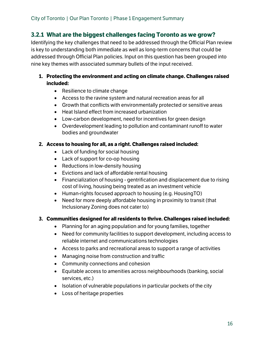# <span id="page-19-0"></span>**3.2.1 What are the biggest challenges facing Toronto as we grow?**

Identifying the key challenges that need to be addressed through the Official Plan review is key to understanding both immediate as well as long-term concerns that could be addressed through Official Plan policies. Input on this question has been grouped into nine key themes with associated summary bullets of the input received.

## **1. Protecting the environment and acting on climate change. Challenges raised included:**

- Resilience to climate change
- Access to the ravine system and natural recreation areas for all
- Growth that conflicts with environmentally protected or sensitive areas
- Heat Island effect from increased urbanization
- Low-carbon development, need for incentives for green design
- Overdevelopment leading to pollution and contaminant runoff to water bodies and groundwater

#### **2. Access to housing for all, as a right. Challenges raised included:**

- Lack of funding for social housing
- Lack of support for co-op housing
- Reductions in low-density housing
- Evictions and lack of affordable rental housing
- Financialization of housing gentrification and displacement due to rising cost of living, housing being treated as an investment vehicle
- Human-rights focused approach to housing (e.g. HousingTO)
- Need for more deeply affordable housing in proximity to transit (that Inclusionary Zoning does not cater to)

#### **3. Communities designed for all residents to thrive. Challenges raised included:**

- Planning for an aging population and for young families, together
- Need for community facilities to support development, including access to reliable internet and communications technologies
- Access to parks and recreational areas to support a range of activities
- Managing noise from construction and traffic
- Community connections and cohesion
- Equitable access to amenities across neighbourhoods (banking, social services, etc.)
- Isolation of vulnerable populations in particular pockets of the city
- Loss of heritage properties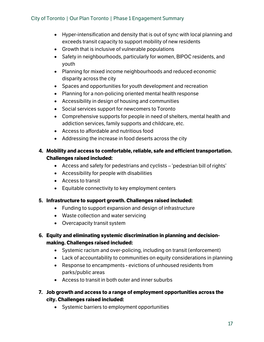- Hyper-intensification and density that is out of sync with local planning and exceeds transit capacity to support mobility of new residents
- Growth that is inclusive of vulnerable populations
- Safety in neighbourhoods, particularly for women, BIPOC residents, and youth
- Planning for mixed income neighbourhoods and reduced economic disparity across the city
- Spaces and opportunities for youth development and recreation
- Planning for a non-policing oriented mental health response
- Accessibility in design of housing and communities
- Social services support for newcomers to Toronto
- Comprehensive supports for people in need of shelters, mental health and addiction services, family supports and childcare, etc.
- Access to affordable and nutritious food
- Addressing the increase in food deserts across the city

## **4. Mobility and access to comfortable, reliable, safe and efficient transportation. Challenges raised included:**

- Access and safety for pedestrians and cyclists 'pedestrian bill of rights'
- Accessibility for people with disabilities
- Access to transit
- Equitable connectivity to key employment centers

#### **5. Infrastructure to support growth. Challenges raised included:**

- Funding to support expansion and design of infrastructure
- Waste collection and water servicing
- Overcapacity transit system

## **6. Equity and eliminating systemic discrimination in planning and decisionmaking. Challenges raised included:**

- Systemic racism and over-policing, including on transit (enforcement)
- Lack of accountability to communities on equity considerations in planning
- Response to encampments evictions of unhoused residents from parks/public areas
- Access to transit in both outer and inner suburbs
- **7. Job growth and access to a range of employment opportunities across the city. Challenges raised included:**
	- Systemic barriers to employment opportunities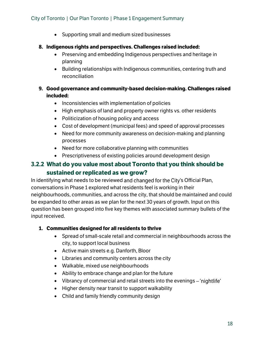- Supporting small and medium sized businesses
- **8. Indigenous rights and perspectives. Challenges raised included:**
	- Preserving and embedding Indigenous perspectives and heritage in planning
	- Building relationships with Indigenous communities, centering truth and reconciliation

## **9. Good governance and community-based decision-making. Challenges raised included:**

- Inconsistencies with implementation of policies
- High emphasis of land and property owner rights vs. other residents
- Politicization of housing policy and access
- Cost of development (municipal fees) and speed of approval processes
- Need for more community awareness on decision-making and planning processes
- Need for more collaborative planning with communities
- Prescriptiveness of existing policies around development design

# <span id="page-21-0"></span>**3.2.2 What do you value most about Toronto that you think should be sustained or replicated as we grow?**

In identifying what needs to be reviewed and changed for the City's Official Plan, conversations in Phase 1 explored what residents feel is working in their neighbourhoods, communities, and across the city, that should be maintained and could be expanded to other areas as we plan for the next 30 years of growth. Input on this question has been grouped into five key themes with associated summary bullets of the input received.

## **1. Communities designed for all residents to thrive**

- Spread of small-scale retail and commercial in neighbourhoods across the city, to support local business
- Active main streets e.g. Danforth, Bloor
- Libraries and community centers across the city
- Walkable, mixed use neighbourhoods
- Ability to embrace change and plan for the future
- Vibrancy of commercial and retail streets into the evenings 'nightlife'
- Higher density near transit to support walkability
- Child and family friendly community design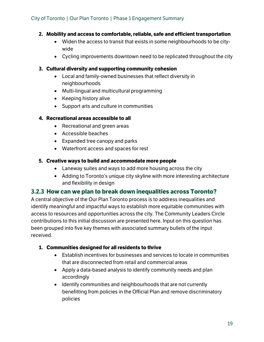#### **2. Mobility and access to comfortable, reliable, safe and efficient transportation**

- Widen the access to transit that exists in some neighbourhoods to be citywide
- Cycling improvements downtown need to be replicated throughout the city

#### **3. Cultural diversity and supporting community cohesion**

- Local and family-owned businesses that reflect diversity in neighbourhoods
- Multi-lingual and multicultural programming
- Keeping history alive
- Support arts and culture in communities

#### **4. Recreational areas accessible to all**

- Recreational and green areas
- Accessible beaches
- Expanded tree canopy and parks
- Waterfront access and spaces for rest

#### **5. Creative ways to build and accommodate more people**

- Laneway suites and ways to add more housing across the city
- Adding to Toronto's unique city skyline with more interesting architecture and flexibility in design

# <span id="page-22-0"></span>**3.2.3 How can we plan to break down inequalities across Toronto?**

A central objective of the Our Plan Toronto process is to address inequalities and identify meaningful and impactful ways to establish more equitable communities with access to resources and opportunities across the city. The Community Leaders Circle contributions to this initial discussion are presented here. Input on this question has been grouped into five key themes with associated summary bullets of the input received.

## **1. Communities designed for all residents to thrive**

- Establish incentives for businesses and services to locate in communities that are disconnected from retail and commercial areas
- Apply a data-based analysis to identify community needs and plan accordingly
- Identify communities and neighbourhoods that are not currently benefitting from policies in the Official Plan and remove discriminatory policies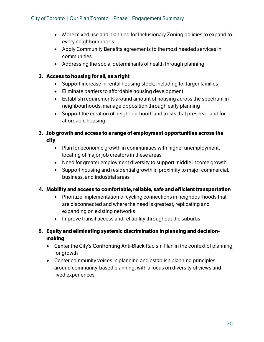- More mixed use and planning for Inclusionary Zoning policies to expand to every neighbourhoods
- Apply Community Benefits agreements to the most needed services in communities
- Addressing the social determinants of health through planning

#### **2. Access to housing for all, as a right**

- Support increase in rental housing stock, including for larger families
- Eliminate barriers to affordable housing development
- Establish requirements around amount of housing across the spectrum in neighbourhoods, manage opposition through early planning
- Support the creation of neighbourhood land trusts that preserve land for affordable housing

## **3. Job growth and access to a range of employment opportunities across the city**

- Plan for economic growth in communities with higher unemployment, locating of major job creators in these areas
- Need for greater employment diversity to support middle income growth
- Support housing and residential growth in proximity to major commercial, business, and industrial areas

## **4. Mobility and access to comfortable, reliable, safe and efficient transportation**

- Prioritize implementation of cycling connections in neighbourhoods that are disconnected and where the need is greatest, replicating and expanding on existing networks
- Improve transit access and reliability throughout the suburbs

# **5. Equity and eliminating systemic discrimination in planning and decisionmaking**

- Center the City's Confronting Anti-Black Racism Plan in the context of planning for growth
- Center community voices in planning and establish planning principles around community-based planning, with a focus on diversity of views and lived experiences